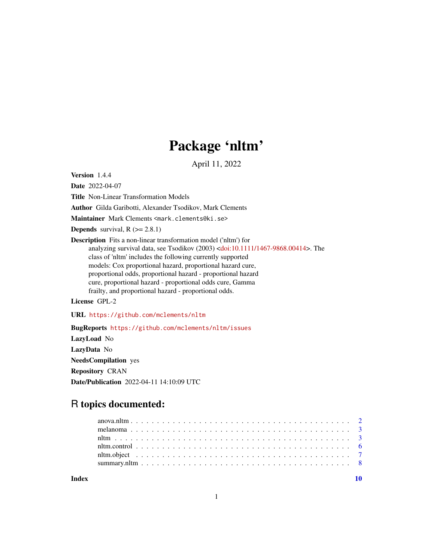## Package 'nltm'

April 11, 2022

<span id="page-0-0"></span>Version 1.4.4

Date 2022-04-07

Title Non-Linear Transformation Models

Author Gilda Garibotti, Alexander Tsodikov, Mark Clements

Maintainer Mark Clements <mark.clements@ki.se>

**Depends** survival,  $R$  ( $>= 2.8.1$ )

Description Fits a non-linear transformation model ('nltm') for analyzing survival data, see Tsodikov (2003) [<doi:10.1111/1467-9868.00414>](https://doi.org/10.1111/1467-9868.00414). The class of 'nltm' includes the following currently supported models: Cox proportional hazard, proportional hazard cure, proportional odds, proportional hazard - proportional hazard cure, proportional hazard - proportional odds cure, Gamma frailty, and proportional hazard - proportional odds.

License GPL-2

URL <https://github.com/mclements/nltm>

BugReports <https://github.com/mclements/nltm/issues> LazyLoad No LazyData No NeedsCompilation yes Repository CRAN Date/Publication 2022-04-11 14:10:09 UTC

### R topics documented:

 $\blacksquare$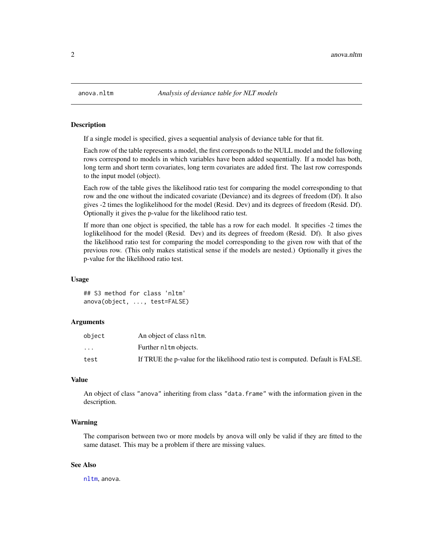<span id="page-1-0"></span>

### Description

If a single model is specified, gives a sequential analysis of deviance table for that fit.

Each row of the table represents a model, the first corresponds to the NULL model and the following rows correspond to models in which variables have been added sequentially. If a model has both, long term and short term covariates, long term covariates are added first. The last row corresponds to the input model (object).

Each row of the table gives the likelihood ratio test for comparing the model corresponding to that row and the one without the indicated covariate (Deviance) and its degrees of freedom (Df). It also gives -2 times the loglikelihood for the model (Resid. Dev) and its degrees of freedom (Resid. Df). Optionally it gives the p-value for the likelihood ratio test.

If more than one object is specified, the table has a row for each model. It specifies -2 times the loglikelihood for the model (Resid. Dev) and its degrees of freedom (Resid. Df). It also gives the likelihood ratio test for comparing the model corresponding to the given row with that of the previous row. (This only makes statistical sense if the models are nested.) Optionally it gives the p-value for the likelihood ratio test.

### Usage

## S3 method for class 'nltm' anova(object, ..., test=FALSE)

### **Arguments**

| object                  | An object of class nltm.                                                         |
|-------------------------|----------------------------------------------------------------------------------|
| $\cdot$ $\cdot$ $\cdot$ | Further nltm objects.                                                            |
| test                    | If TRUE the p-value for the likelihood ratio test is computed. Default is FALSE. |

### Value

An object of class "anova" inheriting from class "data.frame" with the information given in the description.

### Warning

The comparison between two or more models by anova will only be valid if they are fitted to the same dataset. This may be a problem if there are missing values.

### See Also

[nltm](#page-2-1), anova.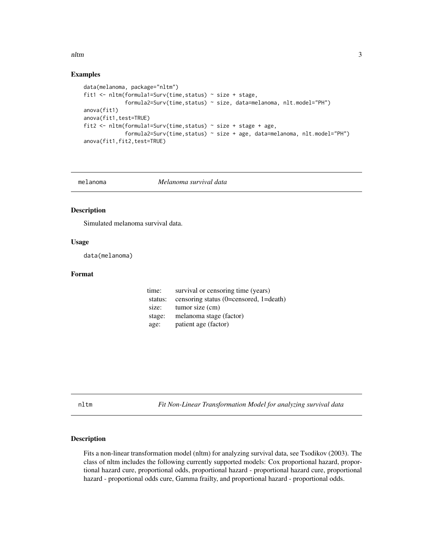### <span id="page-2-0"></span>nltm 3

### Examples

```
data(melanoma, package="nltm")
fit1 <- nltm(formula1=Surv(time,status) ~ size + stage,
             formula2=Surv(time,status) ~ size, data=melanoma, nlt.model="PH")
anova(fit1)
anova(fit1,test=TRUE)
fit2 <- nltm(formula1=Surv(time,status) ~ size + stage + age,
             formula2=Surv(time,status) ~ size + age, data=melanoma, nlt.model="PH")
anova(fit1,fit2,test=TRUE)
```
### melanoma *Melanoma survival data*

### Description

Simulated melanoma survival data.

### Usage

data(melanoma)

### Format

| time:   | survival or censoring time (years)     |
|---------|----------------------------------------|
| status: | censoring status (0=censored, 1=death) |
| size:   | tumor size (cm)                        |
| stage:  | melanoma stage (factor)                |
| age:    | patient age (factor)                   |

<span id="page-2-1"></span>nltm *Fit Non-Linear Transformation Model for analyzing survival data*

### Description

Fits a non-linear transformation model (nltm) for analyzing survival data, see Tsodikov (2003). The class of nltm includes the following currently supported models: Cox proportional hazard, proportional hazard cure, proportional odds, proportional hazard - proportional hazard cure, proportional hazard - proportional odds cure, Gamma frailty, and proportional hazard - proportional odds.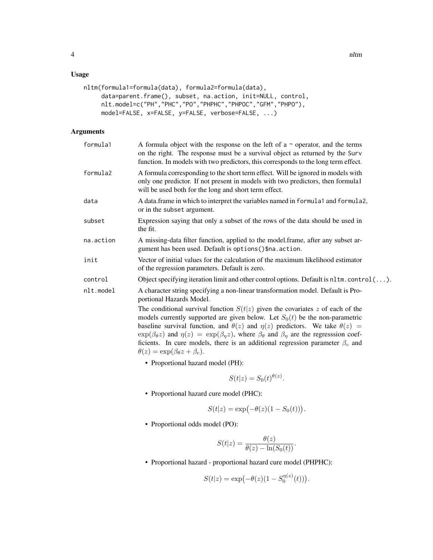### Usage

```
nltm(formula1=formula(data), formula2=formula(data),
     data=parent.frame(), subset, na.action, init=NULL, control,
     nlt.model=c("PH","PHC","PO","PHPHC","PHPOC","GFM","PHPO"),
     model=FALSE, x=FALSE, y=FALSE, verbose=FALSE, ...)
```
### Arguments

| formula1  | A formula object with the response on the left of a $\sim$ operator, and the terms<br>on the right. The response must be a survival object as returned by the Surv<br>function. In models with two predictors, this corresponds to the long term effect.                                                                                                                                                                                                                                                                                         |
|-----------|--------------------------------------------------------------------------------------------------------------------------------------------------------------------------------------------------------------------------------------------------------------------------------------------------------------------------------------------------------------------------------------------------------------------------------------------------------------------------------------------------------------------------------------------------|
| formula2  | A formula corresponding to the short term effect. Will be ignored in models with<br>only one predictor. If not present in models with two predictors, then formulal<br>will be used both for the long and short term effect.                                                                                                                                                                                                                                                                                                                     |
| data      | A data frame in which to interpret the variables named in formulal and formula2,<br>or in the subset argument.                                                                                                                                                                                                                                                                                                                                                                                                                                   |
| subset    | Expression saying that only a subset of the rows of the data should be used in<br>the fit.                                                                                                                                                                                                                                                                                                                                                                                                                                                       |
| na.action | A missing-data filter function, applied to the model.frame, after any subset ar-<br>gument has been used. Default is options () \$na. action.                                                                                                                                                                                                                                                                                                                                                                                                    |
| init      | Vector of initial values for the calculation of the maximum likelihood estimator<br>of the regression parameters. Default is zero.                                                                                                                                                                                                                                                                                                                                                                                                               |
| control   | Object specifying iteration limit and other control options. Default is $nltm$ . control().                                                                                                                                                                                                                                                                                                                                                                                                                                                      |
| nlt.model | A character string specifying a non-linear transformation model. Default is Pro-<br>portional Hazards Model.                                                                                                                                                                                                                                                                                                                                                                                                                                     |
|           | The conditional survival function $S(t z)$ given the covariates z of each of the<br>models currently supported are given below. Let $S_0(t)$ be the non-parametric<br>baseline survival function, and $\theta(z)$ and $\eta(z)$ predictors. We take $\theta(z)$ =<br>$\exp(\beta_{\theta}z)$ and $\eta(z) = \exp(\beta_{\eta}z)$ , where $\beta_{\theta}$ and $\beta_{\eta}$ are the regresssion coef-<br>ficients. In cure models, there is an additional regression parameter $\beta_c$ and<br>$\theta(z) = \exp(\beta_{\theta} z + \beta_c).$ |
|           | • Proportional hazard model (PH):                                                                                                                                                                                                                                                                                                                                                                                                                                                                                                                |
|           |                                                                                                                                                                                                                                                                                                                                                                                                                                                                                                                                                  |

$$
S(t|z) = S_0(t)^{\theta(z)}.
$$

• Proportional hazard cure model (PHC):

$$
S(t|z) = \exp(-\theta(z)(1 - S_0(t))).
$$

• Proportional odds model (PO):

$$
S(t|z) = \frac{\theta(z)}{\theta(z) - \ln(S_0(t))}.
$$

• Proportional hazard - proportional hazard cure model (PHPHC):

$$
S(t|z) = \exp(-\theta(z)(1 - S_0^{\eta(z)}(t))).
$$

 $\mathcal{L}(\mathbf{x})$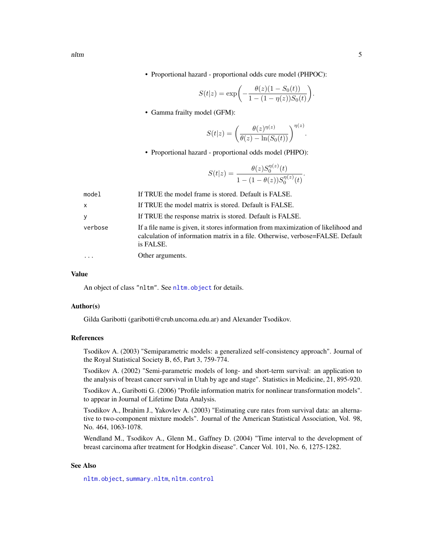$$
S(t|z) = \exp\biggl(-\frac{\theta(z)(1-S_0(t))}{1-(1-\eta(z))S_0(t)}\biggr).
$$

<span id="page-4-0"></span>• Gamma frailty model (GFM):

$$
S(t|z) = \left(\frac{\theta(z)^{\eta(z)}}{\theta(z) - \ln(S_0(t))}\right)^{\eta(z)}.
$$

• Proportional hazard - proportional odds model (PHPO):

$$
S(t|z) = \frac{\theta(z)S_0^{\eta(z)}(t)}{1 - (1 - \theta(z))S_0^{\eta(z)}(t)}.
$$

| model        | If TRUE the model frame is stored. Default is FALSE.                                                                                                                              |
|--------------|-----------------------------------------------------------------------------------------------------------------------------------------------------------------------------------|
| $\mathsf{x}$ | If TRUE the model matrix is stored. Default is FALSE.                                                                                                                             |
| y            | If TRUE the response matrix is stored. Default is FALSE.                                                                                                                          |
| verbose      | If a file name is given, it stores information from maximization of likelihood and<br>calculation of information matrix in a file. Otherwise, verbose=FALSE. Default<br>is FALSE. |
|              | Other arguments.                                                                                                                                                                  |

### Value

An object of class "nltm". See [nltm.object](#page-6-1) for details.

### Author(s)

Gilda Garibotti (garibotti@crub.uncoma.edu.ar) and Alexander Tsodikov.

### References

Tsodikov A. (2003) "Semiparametric models: a generalized self-consistency approach". Journal of the Royal Statistical Society B, 65, Part 3, 759-774.

Tsodikov A. (2002) "Semi-parametric models of long- and short-term survival: an application to the analysis of breast cancer survival in Utah by age and stage". Statistics in Medicine, 21, 895-920.

Tsodikov A., Garibotti G. (2006) "Profile information matrix for nonlinear transformation models". to appear in Journal of Lifetime Data Analysis.

Tsodikov A., Ibrahim J., Yakovlev A. (2003) "Estimating cure rates from survival data: an alternative to two-component mixture models". Journal of the American Statistical Association, Vol. 98, No. 464, 1063-1078.

Wendland M., Tsodikov A., Glenn M., Gaffney D. (2004) "Time interval to the development of breast carcinoma after treatment for Hodgkin disease". Cancer Vol. 101, No. 6, 1275-1282.

### See Also

[nltm.object](#page-6-1), [summary.nltm](#page-7-1), [nltm.control](#page-5-1)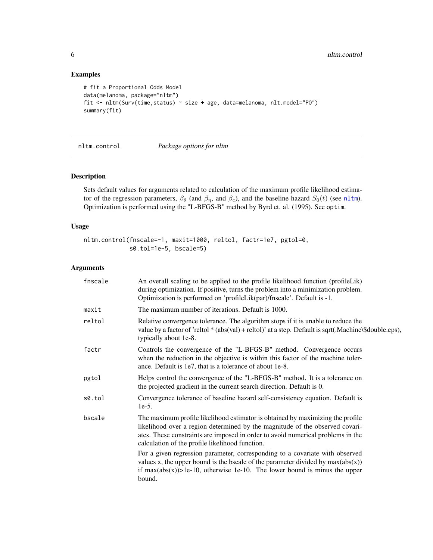### Examples

```
# fit a Proportional Odds Model
data(melanoma, package="nltm")
fit <- nltm(Surv(time,status) ~ size + age, data=melanoma, nlt.model="PO")
summary(fit)
```
<span id="page-5-1"></span>nltm.control *Package options for nltm*

### Description

Sets default values for arguments related to calculation of the maximum profile likelihood estimator of the regression parameters,  $\beta_{\theta}$  (and  $\beta_{\eta}$ , and  $\beta_{c}$ ), and the baseline hazard  $S_{0}(t)$  (see [nltm](#page-2-1)). Optimization is performed using the "L-BFGS-B" method by Byrd et. al. (1995). See optim.

### Usage

```
nltm.control(fnscale=-1, maxit=1000, reltol, factr=1e7, pgtol=0,
             s0.tol=1e-5, bscale=5)
```
### Arguments

| fnscale | An overall scaling to be applied to the profile likelihood function (profileLik)<br>during optimization. If positive, turns the problem into a minimization problem.<br>Optimization is performed on 'profileLik(par)/fnscale'. Default is -1.                                                       |
|---------|------------------------------------------------------------------------------------------------------------------------------------------------------------------------------------------------------------------------------------------------------------------------------------------------------|
| maxit   | The maximum number of iterations. Default is 1000.                                                                                                                                                                                                                                                   |
| reltol  | Relative convergence tolerance. The algorithm stops if it is unable to reduce the<br>value by a factor of 'reltol * (abs(val) + reltol)' at a step. Default is sqrt(. Machine\\$double.eps),<br>typically about 1e-8.                                                                                |
| factr   | Controls the convergence of the "L-BFGS-B" method. Convergence occurs<br>when the reduction in the objective is within this factor of the machine toler-<br>ance. Default is 1e7, that is a tolerance of about 1e-8.                                                                                 |
| pgtol   | Helps control the convergence of the "L-BFGS-B" method. It is a tolerance on<br>the projected gradient in the current search direction. Default is 0.                                                                                                                                                |
| s0.tol  | Convergence tolerance of baseline hazard self-consistency equation. Default is<br>$1e-5$ .                                                                                                                                                                                                           |
| bscale  | The maximum profile likelihood estimator is obtained by maximizing the profile<br>likelihood over a region determined by the magnitude of the observed covari-<br>ates. These constraints are imposed in order to avoid numerical problems in the<br>calculation of the profile likelihood function. |
|         | For a given regression parameter, corresponding to a covariate with observed<br>values x, the upper bound is the bscale of the parameter divided by $max(abs(x))$<br>if $max(abs(x))>1e-10$ , otherwise 1e-10. The lower bound is minus the upper<br>bound.                                          |

<span id="page-5-0"></span>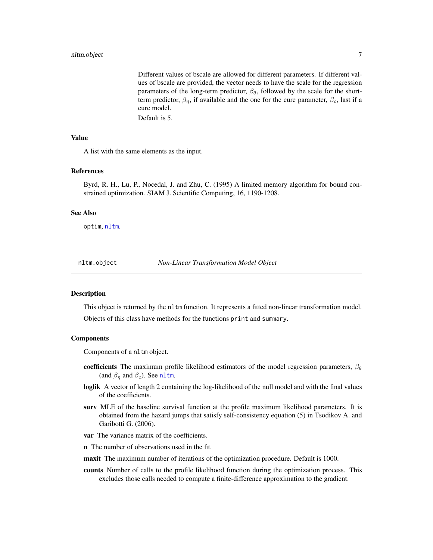### <span id="page-6-0"></span>nltm.object 7

Different values of bscale are allowed for different parameters. If different values of bscale are provided, the vector needs to have the scale for the regression parameters of the long-term predictor,  $\beta_{\theta}$ , followed by the scale for the shortterm predictor,  $\beta_{\eta}$ , if available and the one for the cure parameter,  $\beta_c$ , last if a cure model.

Default is 5.

### Value

A list with the same elements as the input.

### References

Byrd, R. H., Lu, P., Nocedal, J. and Zhu, C. (1995) A limited memory algorithm for bound constrained optimization. SIAM J. Scientific Computing, 16, 1190-1208.

### See Also

optim, [nltm](#page-2-1).

<span id="page-6-1"></span>

nltm.object *Non-Linear Transformation Model Object*

### **Description**

This object is returned by the nltm function. It represents a fitted non-linear transformation model. Objects of this class have methods for the functions print and summary.

### Components

Components of a nltm object.

- coefficients The maximum profile likelihood estimators of the model regression parameters,  $\beta_{\theta}$ (and  $\beta_{\eta}$  and  $\beta_c$ ). See n1tm.
- loglik A vector of length 2 containing the log-likelihood of the null model and with the final values of the coefficients.
- surv MLE of the baseline survival function at the profile maximum likelihood parameters. It is obtained from the hazard jumps that satisfy self-consistency equation (5) in Tsodikov A. and Garibotti G. (2006).
- **var** The variance matrix of the coefficients.
- n The number of observations used in the fit.
- maxit The maximum number of iterations of the optimization procedure. Default is 1000.
- counts Number of calls to the profile likelihood function during the optimization process. This excludes those calls needed to compute a finite-difference approximation to the gradient.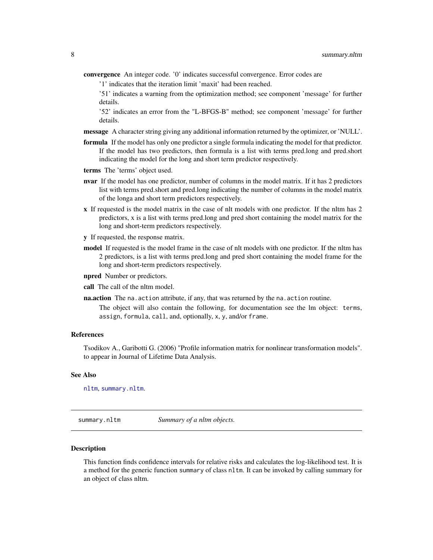<span id="page-7-0"></span>convergence An integer code. '0' indicates successful convergence. Error codes are

'1' indicates that the iteration limit 'maxit' had been reached.

'51' indicates a warning from the optimization method; see component 'message' for further details.

'52' indicates an error from the "L-BFGS-B" method; see component 'message' for further details.

- message A character string giving any additional information returned by the optimizer, or 'NULL'.
- formula If the model has only one predictor a single formula indicating the model for that predictor. If the model has two predictors, then formula is a list with terms pred.long and pred.short indicating the model for the long and short term predictor respectively.
- terms The 'terms' object used.
- nvar If the model has one predictor, number of columns in the model matrix. If it has 2 predictors list with terms pred.short and pred.long indicating the number of columns in the model matrix of the longa and short term predictors respectively.
- x If requested is the model matrix in the case of nlt models with one predictor. If the nltm has 2 predictors, x is a list with terms pred.long and pred short containing the model matrix for the long and short-term predictors respectively.
- y If requested, the response matrix.
- model If requested is the model frame in the case of nlt models with one predictor. If the nltm has 2 predictors, is a list with terms pred.long and pred short containing the model frame for the long and short-term predictors respectively.
- npred Number or predictors.
- call The call of the nltm model.
- **na.action** The na. action attribute, if any, that was returned by the na. action routine.

The object will also contain the following, for documentation see the lm object: terms, assign, formula, call, and, optionally, x, y, and/or frame.

### References

Tsodikov A., Garibotti G. (2006) "Profile information matrix for nonlinear transformation models". to appear in Journal of Lifetime Data Analysis.

### See Also

[nltm](#page-2-1), [summary.nltm](#page-7-1).

<span id="page-7-1"></span>summary.nltm *Summary of a nltm objects.*

### **Description**

This function finds confidence intervals for relative risks and calculates the log-likelihood test. It is a method for the generic function summary of class nltm. It can be invoked by calling summary for an object of class nltm.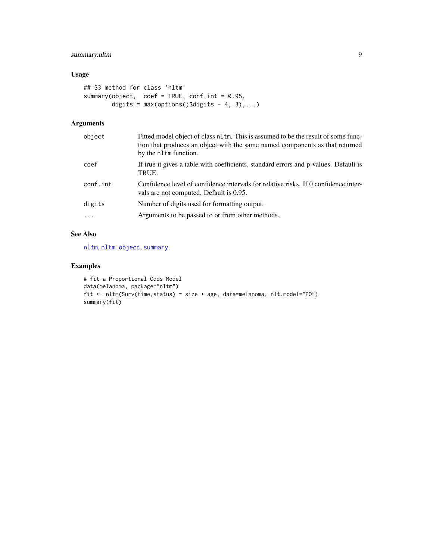### <span id="page-8-0"></span>summary.nltm 9

### Usage

```
## S3 method for class 'nltm'
summary(object, coef = TRUE, conf.int = 0.95,
       digits = max(options()$digits - 4, 3),...)
```
### Arguments

| object   | Fitted model object of class n1tm. This is assumed to be the result of some func-<br>tion that produces an object with the same named components as that returned<br>by the nltm function. |
|----------|--------------------------------------------------------------------------------------------------------------------------------------------------------------------------------------------|
| coef     | If true it gives a table with coefficients, standard errors and p-values. Default is<br>TRUE.                                                                                              |
| conf.int | Confidence level of confidence intervals for relative risks. If 0 confidence inter-<br>vals are not computed. Default is 0.95.                                                             |
| digits   | Number of digits used for formatting output.                                                                                                                                               |
|          | Arguments to be passed to or from other methods.                                                                                                                                           |

### See Also

[nltm](#page-2-1), [nltm.object](#page-6-1), [summary](#page-0-0).

### Examples

```
# fit a Proportional Odds Model
data(melanoma, package="nltm")
fit <- nltm(Surv(time,status) ~ size + age, data=melanoma, nlt.model="PO")
summary(fit)
```